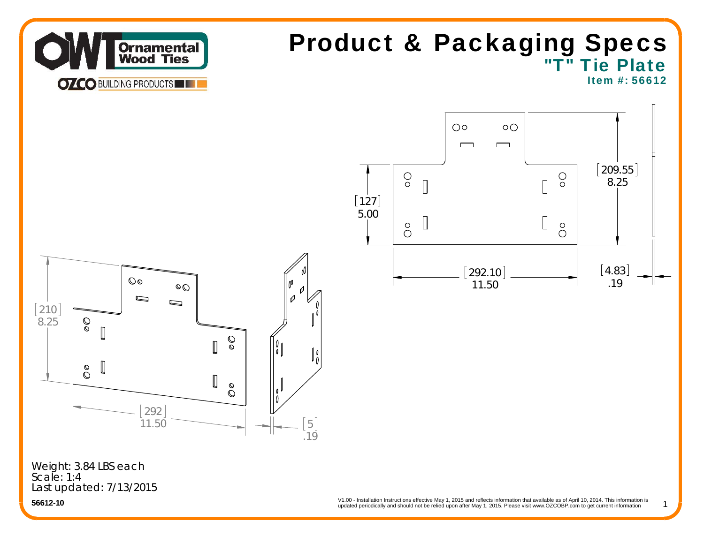

# "T" Tie Plate Product & Packaging Specs

Item #: 56612

1



Last updated: 7/13/2015 Weight: 3.84 LBS each Scale: 1:4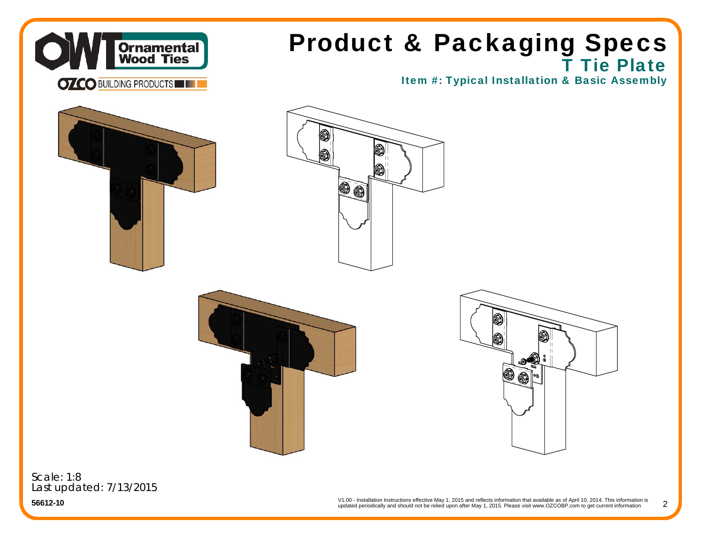

# **T Tie Plate** Product & Packaging Specs

Item #: Typical Installation & Basic Assembly









Scale: 1:8Last updated: 7/13/2015

> V1.00 - Installation Instructions effective May 1, 2015 and reflects information that available as of April 10, 2014. This information is updated periodically and should not be relied upon after May 1, 2015. Please visit www.OZCOBP.com to get current information 2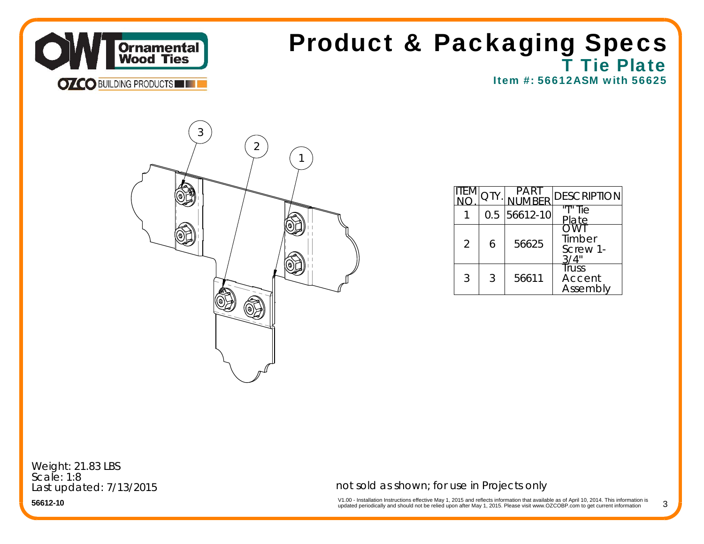

#### **T Tie Plate** Item #: 56612ASM with 56625Product & Packaging Specs



|                |   | <b>RFR</b>     | <b>DESCRIPTION</b>          |
|----------------|---|----------------|-----------------------------|
|                |   | $0.5$ 56612-10 | "T" Tie<br>late             |
| $\overline{2}$ | 6 | 56625          | Timber<br>Screw 1-          |
| 3              | 3 | 56611          | Truss<br>Accent<br>Assembly |

Weight: 21.83 LBS Scale: 1:8Last updated: 7/13/2015

**56612-10**

not sold as shown; for use in Projects only

V1.00 - Installation Instructions effective May 1, 2015 and reflects information that available as of April 10, 2014. This information is<br>updated periodically and should not be relied upon after May 1, 2015. Please visit w

3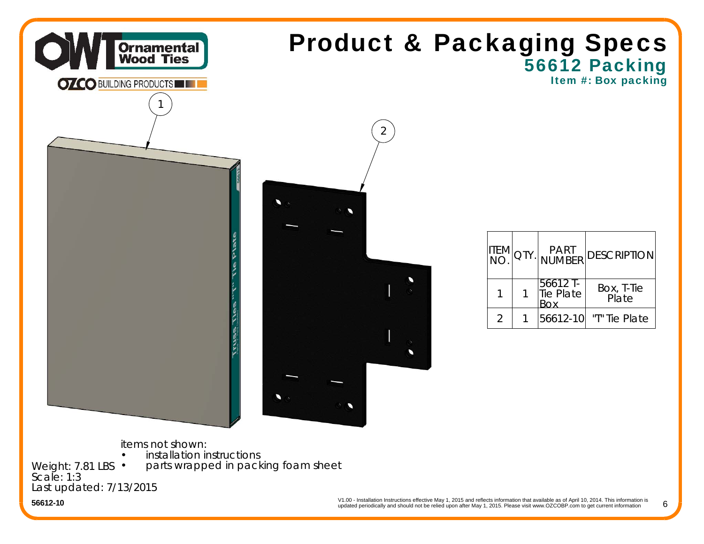

### 56612 Packing Item #: Box packing Product & Packaging Specs



| item<br>Ino.  | QTY. | PART<br> NUMBER              | <b>DESCRIPTION</b>  |
|---------------|------|------------------------------|---------------------|
|               |      | 56612 T-<br><b>Tie Plate</b> | Box, T-Tie<br>Plate |
| $\mathcal{P}$ |      | 56612-10                     | "T" Tie Plate       |

items not shown:

**•** installation instructions

parts wrapped in packing foam sheet

Weight: 7.81 LBS •Scale: 1:3Last updated: 7/13/2015

•

V1.00 - Installation Instructions effective May 1, 2015 and reflects information that available as of April 10, 2014. This information is updated periodically and should not be relied upon after May 1, 2015. Please visit www.OZCOBP.com to get current information

6

**56612-10**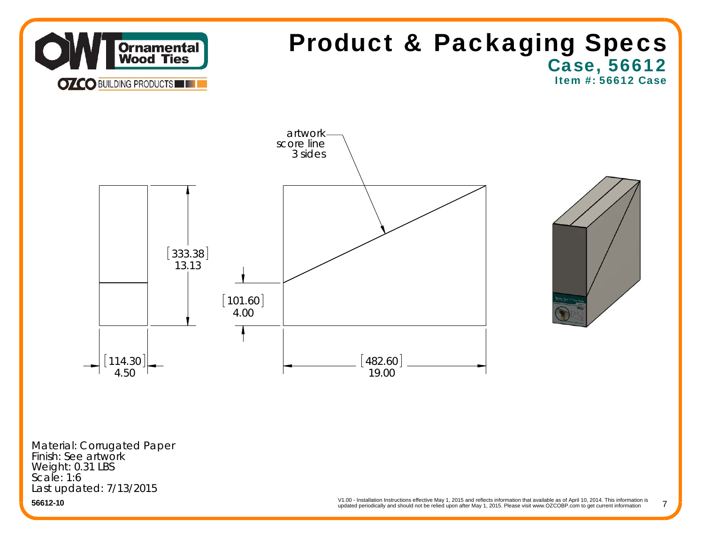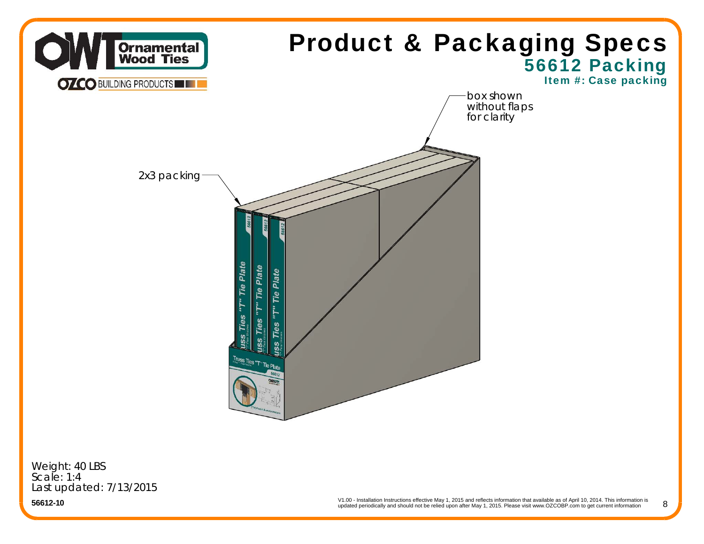

Weight: 40 LBS Scale: 1:4Last updated: 7/13/2015

**56612-10**